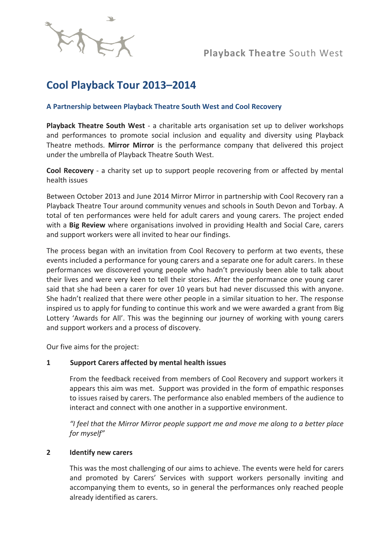

# **Cool Playback Tour 2013–2014**

### **A Partnership between Playback Theatre South West and Cool Recovery**

**Playback Theatre South West** - a charitable arts organisation set up to deliver workshops and performances to promote social inclusion and equality and diversity using Playback Theatre methods. **Mirror Mirror** is the performance company that delivered this project under the umbrella of Playback Theatre South West.

**Cool Recovery** - a charity set up to support people recovering from or affected by mental health issues

Between October 2013 and June 2014 Mirror Mirror in partnership with Cool Recovery ran a Playback Theatre Tour around community venues and schools in South Devon and Torbay. A total of ten performances were held for adult carers and young carers. The project ended with a **Big Review** where organisations involved in providing Health and Social Care, carers and support workers were all invited to hear our findings.

The process began with an invitation from Cool Recovery to perform at two events, these events included a performance for young carers and a separate one for adult carers. In these performances we discovered young people who hadn't previously been able to talk about their lives and were very keen to tell their stories. After the performance one young carer said that she had been a carer for over 10 years but had never discussed this with anyone. She hadn't realized that there were other people in a similar situation to her. The response inspired us to apply for funding to continue this work and we were awarded a grant from Big Lottery 'Awards for All'. This was the beginning our journey of working with young carers and support workers and a process of discovery.

Our five aims for the project:

#### **1 Support Carers affected by mental health issues**

From the feedback received from members of Cool Recovery and support workers it appears this aim was met. Support was provided in the form of empathic responses to issues raised by carers. The performance also enabled members of the audience to interact and connect with one another in a supportive environment.

*"I feel that the Mirror Mirror people support me and move me along to a better place for myself"*

#### **2 Identify new carers**

This was the most challenging of our aims to achieve. The events were held for carers and promoted by Carers' Services with support workers personally inviting and accompanying them to events, so in general the performances only reached people already identified as carers.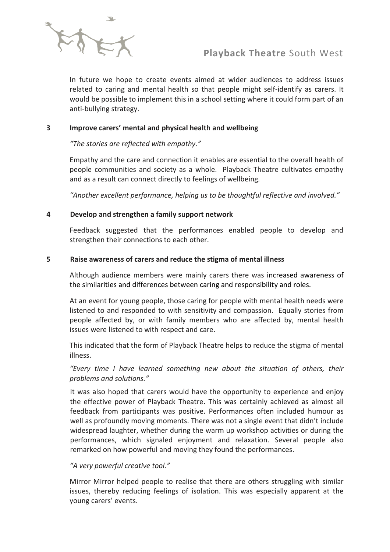

In future we hope to create events aimed at wider audiences to address issues related to caring and mental health so that people might self-identify as carers. It would be possible to implement this in a school setting where it could form part of an anti-bullying strategy.

#### **3 Improve carers' mental and physical health and wellbeing**

#### *"The stories are reflected with empathy."*

Empathy and the care and connection it enables are essential to the overall health of people communities and society as a whole. Playback Theatre cultivates empathy and as a result can connect directly to feelings of wellbeing*.*

*"Another excellent performance, helping us to be thoughtful reflective and involved."*

#### **4 Develop and strengthen a family support network**

Feedback suggested that the performances enabled people to develop and strengthen their connections to each other.

#### **5 Raise awareness of carers and reduce the stigma of mental illness**

Although audience members were mainly carers there was increased awareness of the similarities and differences between caring and responsibility and roles.

At an event for young people, those caring for people with mental health needs were listened to and responded to with sensitivity and compassion. Equally stories from people affected by, or with family members who are affected by, mental health issues were listened to with respect and care.

This indicated that the form of Playback Theatre helps to reduce the stigma of mental illness.

*"Every time I have learned something new about the situation of others, their problems and solutions."*

It was also hoped that carers would have the opportunity to experience and enjoy the effective power of Playback Theatre. This was certainly achieved as almost all feedback from participants was positive. Performances often included humour as well as profoundly moving moments. There was not a single event that didn't include widespread laughter, whether during the warm up workshop activities or during the performances, which signaled enjoyment and relaxation. Several people also remarked on how powerful and moving they found the performances.

#### *"A very powerful creative tool."*

Mirror Mirror helped people to realise that there are others struggling with similar issues, thereby reducing feelings of isolation. This was especially apparent at the young carers' events.